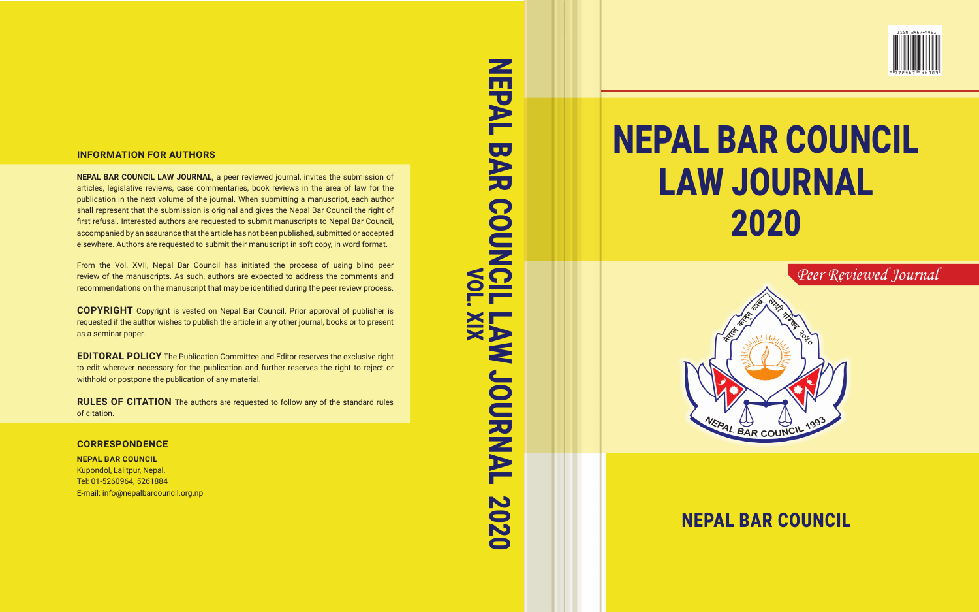#### **INFORMATION FOR AUTHORS**

**NEPAL BAR COUNCIL LAW JOURNAL,** a peer reviewed journal, invites the submission of articles, legislative reviews, case commentaries, book reviews in the area of law for the publication in the next volume of the journal. When submitting a manuscript, each author shall represent that the submission is original and gives the Nepal Bar Council the right of first refusal. Interested authors are requested to submit manuscripts to Nepal Bar Council, accompanied by an assurance that the article has not been published, submitted or accepted elsewhere. Authors are requested to submit their manuscript in soft copy, in word format.

From the Vol. XVII, Nepal Bar Council has initiated the process of using blind peer review of the manuscripts. As such, authors are expected to address the comments and recommendations on the manuscript that may be identified during the peer review process.

**COPYRIGHT** Copyright is vested on Nepal Bar Council. Prior approval of publisher is requested if the author wishes to publish the article in any other journal, books or to present as a seminar paper.

**EDITORAL POLICY** The Publication Committee and Editor reserves the exclusive right to edit wherever necessary for the publication and further reserves the right to reject or withhold or postpone the publication of any material.

**RULES OF CITATION** The authors are requested to follow any of the standard rules of citation.

#### **CORRESPONDENCE**

**NEPAL BAR COUNCIL**  Kupondol, Lalitpur, Nepal. Tel: 01-5260964, 5261884 E-mail: info@nepalbarcouncil.org.np

NEPAL BAR COUNCIL LAW JOURNAL 2020 NEPAL BAR COUNCIL LAW JOURNAL 2020



# NEPAL BAR COUNCIL LAW JOURNAL 2020



## NEPAL BAR COUNCIL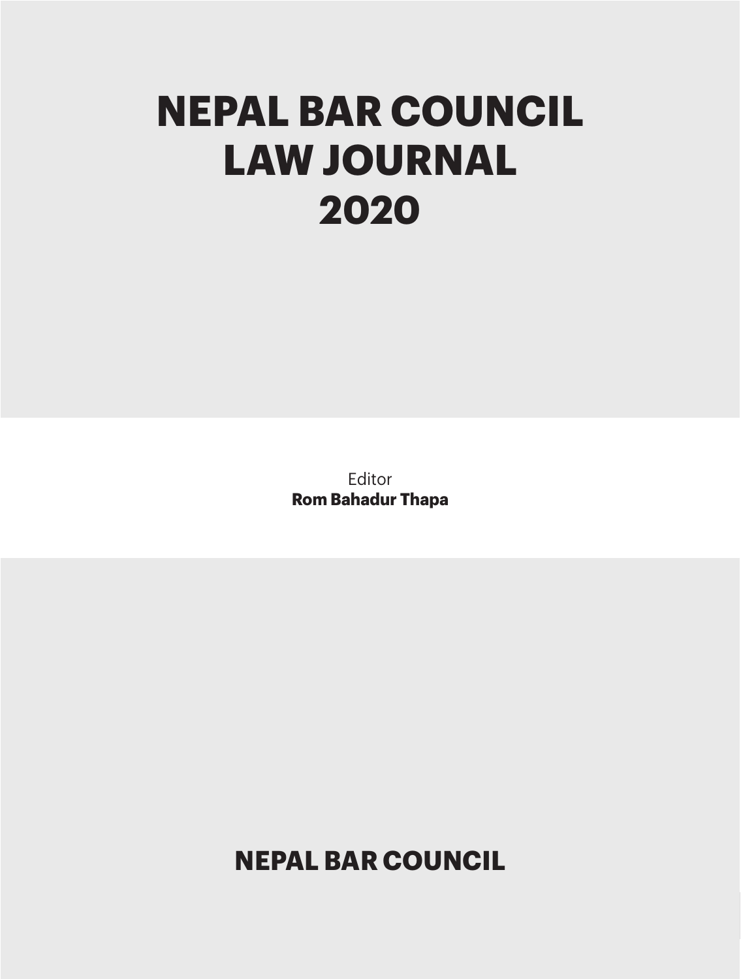## **NEPAL BAR COUNCIL LAW JOURNAL 2020**

Editor **Rom Bahadur Thapa**

**NEPAL BAR COUNCIL**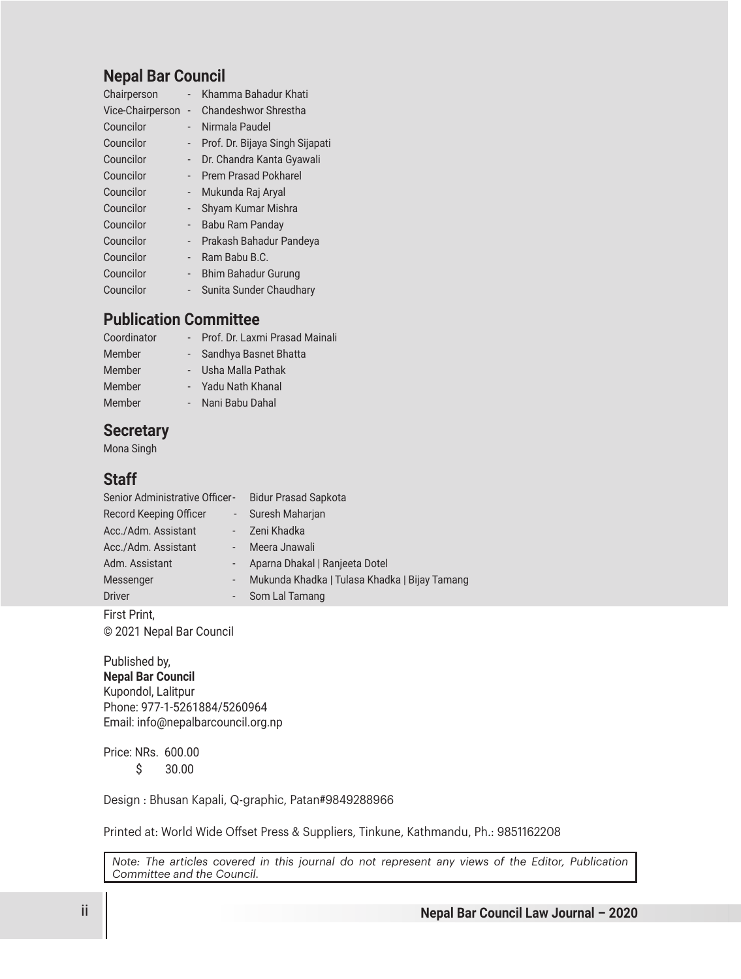## **Nepal Bar Council**

| Chairperson      |                | Khamma Bahadur Khati            |
|------------------|----------------|---------------------------------|
| Vice-Chairperson | $\overline{a}$ | Chandeshwor Shrestha            |
| Councilor        |                | Nirmala Paudel                  |
| Councilor        |                | Prof. Dr. Bijaya Singh Sijapati |
| Councilor        |                | Dr. Chandra Kanta Gyawali       |
| Councilor        |                | <b>Prem Prasad Pokharel</b>     |
| Councilor        |                | Mukunda Raj Aryal               |
| Councilor        |                | Shyam Kumar Mishra              |
| Councilor        |                | Babu Ram Panday                 |
| Councilor        |                | Prakash Bahadur Pandeya         |
| Councilor        |                | Ram Babu B.C.                   |
| Councilor        | -              | Bhim Bahadur Gurung             |
| Councilor        |                | Sunita Sunder Chaudhary         |

## **Publication Committee**

| Coordinator | Prof. Dr. Laxmi Prasad Mainali |
|-------------|--------------------------------|
| Member      | Sandhya Basnet Bhatta          |
| Member      | Usha Malla Pathak              |
| Member      | Yadu Nath Khanal               |
| Member      | Nani Babu Dahal                |

## **Secretary**

Mona Singh

### **Staff**

| Senior Administrative Officer- |        | <b>Bidur Prasad Sapkota</b>                   |
|--------------------------------|--------|-----------------------------------------------|
| Record Keeping Officer         |        | - Suresh Maharjan                             |
| Acc./Adm. Assistant            |        | - Zeni Khadka                                 |
| Acc./Adm. Assistant            |        | Meera Jnawali                                 |
| Adm. Assistant                 |        | - Aparna Dhakal   Ranjeeta Dotel              |
| Messenger                      | $\sim$ | Mukunda Khadka   Tulasa Khadka   Bijay Tamang |
| <b>Driver</b>                  |        | - Som Lal Tamang                              |

First Print, © 2021 Nepal Bar Council

Published by, **Nepal Bar Council** Kupondol, Lalitpur Phone: 977-1-5261884/5260964 Email: info@nepalbarcouncil.org.np

Price: NRs. 600.00 \$ 30.00

Design : Bhusan Kapali, Q-graphic, Patan#9849288966

Printed at: World Wide Offset Press & Suppliers, Tinkune, Kathmandu, Ph.: 9851162208

*Note: The articles covered in this journal do not represent any views of the Editor, Publication Committee and the Council.*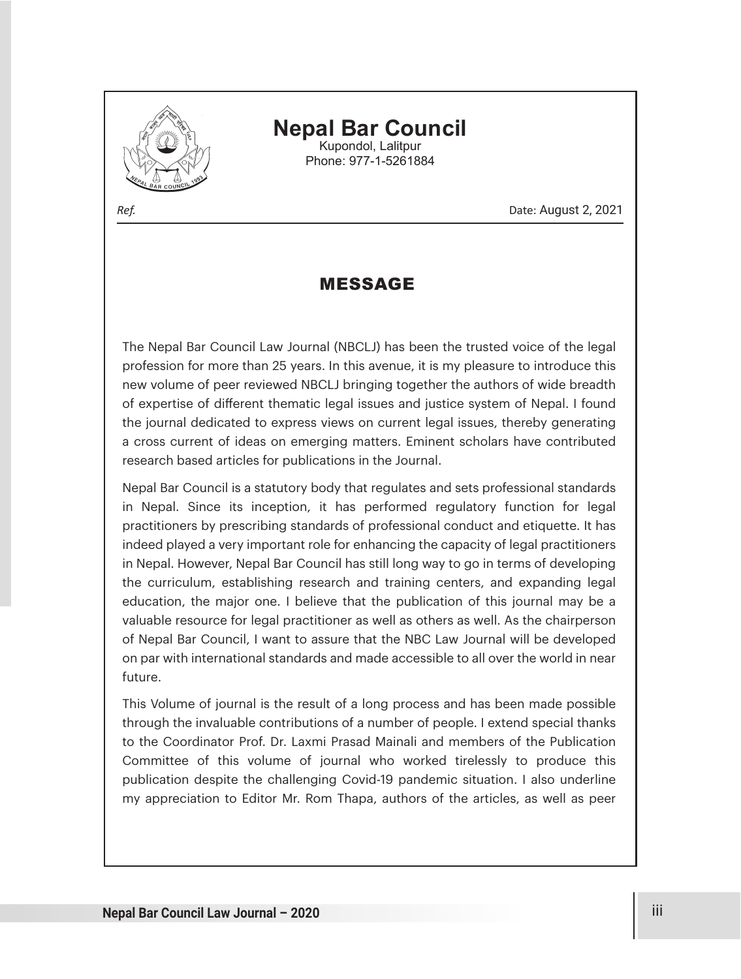

## **Nepal Bar Council** Kupondol, Lalitpur

Phone: 977-1-5261884

*Ref.* Date: August 2, 2021

## MESSAGE

The Nepal Bar Council Law Journal (NBCLJ) has been the trusted voice of the legal profession for more than 25 years. In this avenue, it is my pleasure to introduce this new volume of peer reviewed NBCLJ bringing together the authors of wide breadth of expertise of different thematic legal issues and justice system of Nepal. I found the journal dedicated to express views on current legal issues, thereby generating a cross current of ideas on emerging matters. Eminent scholars have contributed research based articles for publications in the Journal.

Nepal Bar Council is a statutory body that regulates and sets professional standards in Nepal. Since its inception, it has performed regulatory function for legal practitioners by prescribing standards of professional conduct and etiquette. It has indeed played a very important role for enhancing the capacity of legal practitioners in Nepal. However, Nepal Bar Council has still long way to go in terms of developing the curriculum, establishing research and training centers, and expanding legal education, the major one. I believe that the publication of this journal may be a valuable resource for legal practitioner as well as others as well. As the chairperson of Nepal Bar Council, I want to assure that the NBC Law Journal will be developed on par with international standards and made accessible to all over the world in near future.

This Volume of journal is the result of a long process and has been made possible through the invaluable contributions of a number of people. I extend special thanks to the Coordinator Prof. Dr. Laxmi Prasad Mainali and members of the Publication Committee of this volume of journal who worked tirelessly to produce this publication despite the challenging Covid-19 pandemic situation. I also underline my appreciation to Editor Mr. Rom Thapa, authors of the articles, as well as peer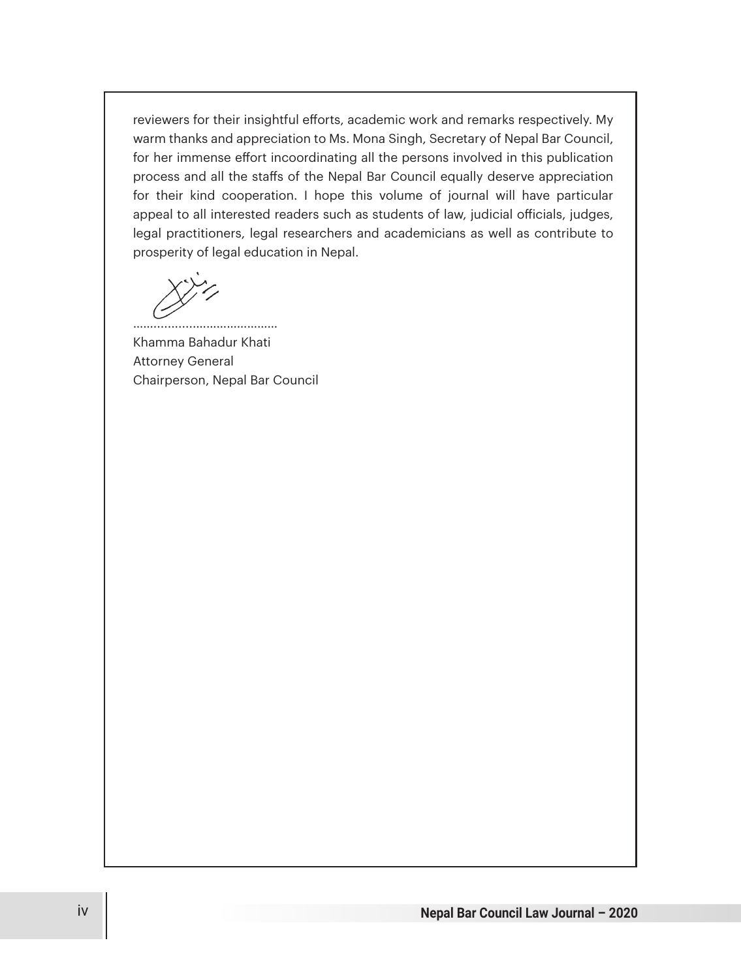reviewers for their insightful efforts, academic work and remarks respectively. My warm thanks and appreciation to Ms. Mona Singh, Secretary of Nepal Bar Council, for her immense effort incoordinating all the persons involved in this publication process and all the staffs of the Nepal Bar Council equally deserve appreciation for their kind cooperation. I hope this volume of journal will have particular appeal to all interested readers such as students of law, judicial officials, judges, legal practitioners, legal researchers and academicians as well as contribute to prosperity of legal education in Nepal.

……............…………………… Khamma Bahadur Khati Attorney General Chairperson, Nepal Bar Council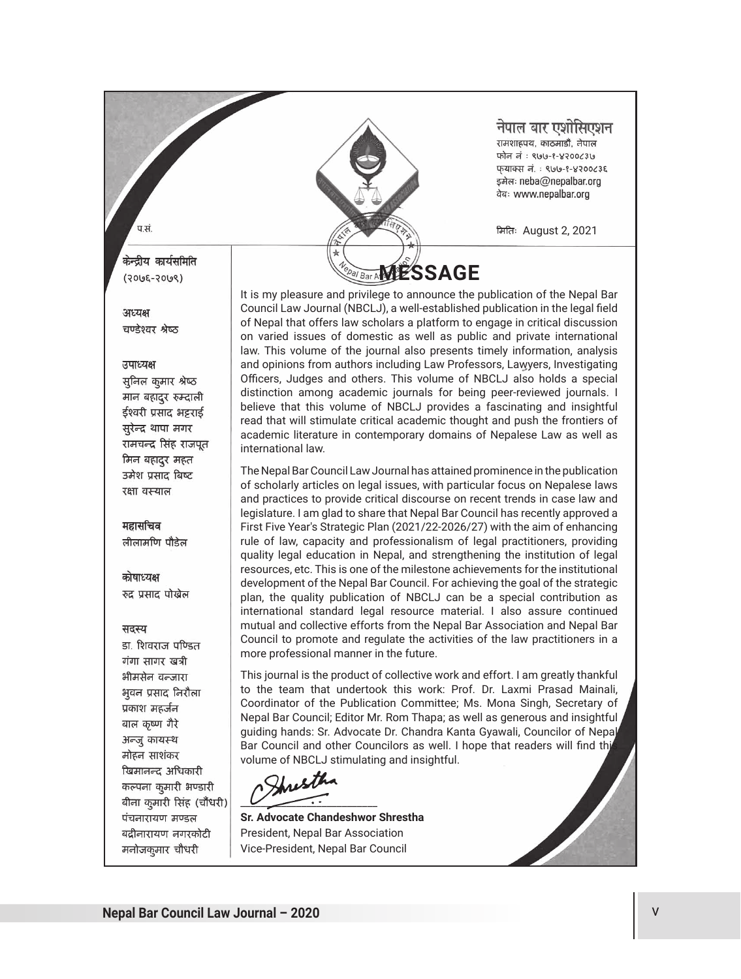

#### नेपाल बार एशोसिएशन ्<br>रामशाहपथ, काठमाडौँ, नेपाल फोन नं : ९७७-१-४२००८३७ फयाक्स लं: ९७७-१-४२००८३९

मितिः August 2, 2021

डमेलः neba@nepalbar.org वेबः www.nepalbar.org

#### केन्द्रीय कार्यसमिति  $(2005 - 2009)$

 $\pi \vec{H}$ 

#### अध्यक्ष चण्डेश्वर श्रेष्ठ

#### उपाध्यक्ष

सुनिल कुमार श्रेष्ठ मान बहादूर रुम्दाली ईश्वरी प्रसाद भट्टराई सुरेन्द्र थापा मगर रामचन्द्र सिंह राजपत मिन बहादुर महत उमेश प्रसाद बिष्ट रक्षा वस्याल

महासचिव लीलामणि पौडेल

#### कोषाध्यक्ष रुद्र प्रसाद पोखेल

#### सदस्य

डा. शिवराज पण्डित गंगा सागर खत्री भीमसेन वन्जारा भूवन प्रसाद निरौला प्रकाश महर्जन बाल कृष्ण गैरे अन्जू कायस्थ मोहन साशंकर खिमानन्द अधिकारी कल्पना कुमारी भण्डारी बीना कुमारी सिंह (चौंधरी) पंचनारायण मण्डल बद्रीनारायण नगरकोटी मनोजक्ज़ार चौधरी

It is my pleasure and privilege to announce the publication of the Nepal Bar Council Law Journal (NBCLJ), a well-established publication in the legal field of Nepal that offers law scholars a platform to engage in critical discussion on varied issues of domestic as well as public and private international law. This volume of the journal also presents timely information, analysis and opinions from authors including Law Professors, Lawyers, Investigating Officers, Judges and others. This volume of NBCLJ also holds a special distinction among academic journals for being peer-reviewed journals. I believe that this volume of NBCLJ provides a fascinating and insightful read that will stimulate critical academic thought and push the frontiers of academic literature in contemporary domains of Nepalese Law as well as international law.

The Nepal Bar Council Law Journal has attained prominence in the publication of scholarly articles on legal issues, with particular focus on Nepalese laws and practices to provide critical discourse on recent trends in case law and legislature. I am glad to share that Nepal Bar Council has recently approved a First Five Year's Strategic Plan (2021/22-2026/27) with the aim of enhancing rule of law, capacity and professionalism of legal practitioners, providing quality legal education in Nepal, and strengthening the institution of legal resources, etc. This is one of the milestone achievements for the institutional development of the Nepal Bar Council. For achieving the goal of the strategic plan, the quality publication of NBCLJ can be a special contribution as international standard legal resource material. I also assure continued mutual and collective efforts from the Nepal Bar Association and Nepal Bar Council to promote and regulate the activities of the law practitioners in a more professional manner in the future.

This journal is the product of collective work and effort. I am greatly thankful to the team that undertook this work: Prof. Dr. Laxmi Prasad Mainali, Coordinator of the Publication Committee; Ms. Mona Singh, Secretary of Nepal Bar Council; Editor Mr. Rom Thapa; as well as generous and insightful guiding hands: Sr. Advocate Dr. Chandra Kanta Gyawali, Councilor of Nepal Bar Council and other Councilors as well. I hope that readers will find thi volume of NBCLJ stimulating and insightful.

Hust  $\overline{\phantom{a}}$ 

**Sr. Advocate Chandeshwor Shrestha** President, Nepal Bar Association Vice-President, Nepal Bar Council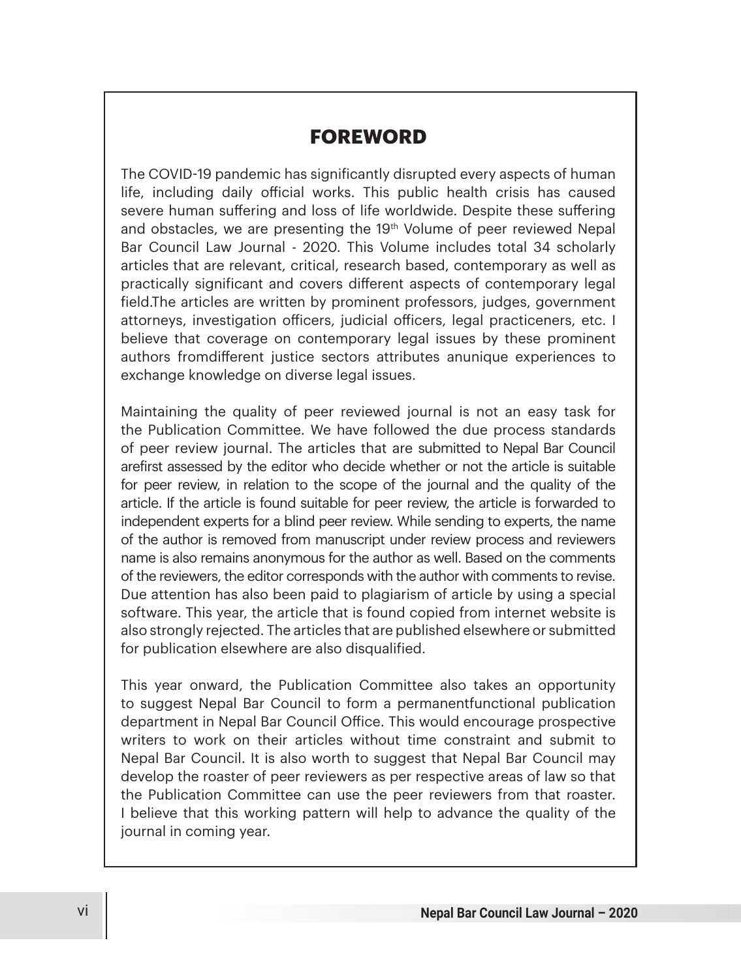## **FOREWORD**

The COVID-19 pandemic has significantly disrupted every aspects of human life, including daily official works. This public health crisis has caused severe human suffering and loss of life worldwide. Despite these suffering and obstacles, we are presenting the 19<sup>th</sup> Volume of peer reviewed Nepal Bar Council Law Journal - 2020. This Volume includes total 34 scholarly articles that are relevant, critical, research based, contemporary as well as practically significant and covers different aspects of contemporary legal field.The articles are written by prominent professors, judges, government attorneys, investigation officers, judicial officers, legal practiceners, etc. I believe that coverage on contemporary legal issues by these prominent authors from different justice sectors attributes anunique experiences to exchange knowledge on diverse legal issues.

Maintaining the quality of peer reviewed journal is not an easy task for the Publication Committee. We have followed the due process standards of peer review journal. The articles that are submitted to Nepal Bar Council arefirst assessed by the editor who decide whether or not the article is suitable for peer review, in relation to the scope of the journal and the quality of the article. If the article is found suitable for peer review, the article is forwarded to independent experts for a blind peer review. While sending to experts, the name of the author is removed from manuscript under review process and reviewers name is also remains anonymous for the author as well. Based on the comments of the reviewers, the editor corresponds with the author with comments to revise. Due attention has also been paid to plagiarism of article by using a special software. This year, the article that is found copied from internet website is also strongly rejected. The articles that are published elsewhere or submitted for publication elsewhere are also disqualified.

This year onward, the Publication Committee also takes an opportunity to suggest Nepal Bar Council to form a permanentfunctional publication department in Nepal Bar Council Office. This would encourage prospective writers to work on their articles without time constraint and submit to Nepal Bar Council. It is also worth to suggest that Nepal Bar Council may develop the roaster of peer reviewers as per respective areas of law so that the Publication Committee can use the peer reviewers from that roaster. I believe that this working pattern will help to advance the quality of the journal in coming year.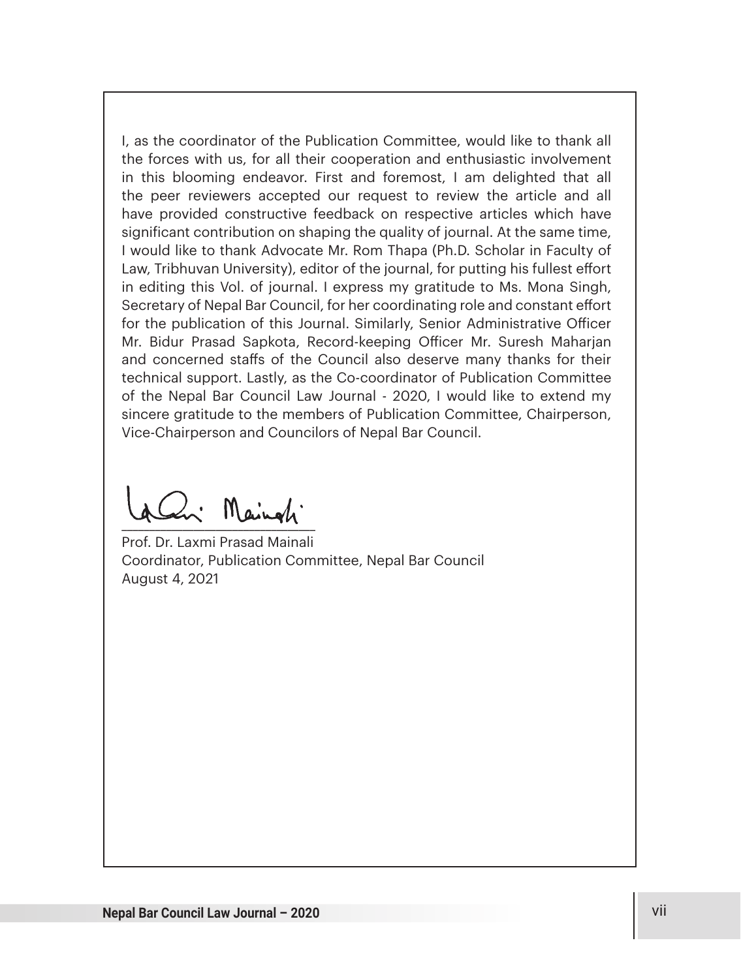I, as the coordinator of the Publication Committee, would like to thank all the forces with us, for all their cooperation and enthusiastic involvement in this blooming endeavor. First and foremost, I am delighted that all the peer reviewers accepted our request to review the article and all have provided constructive feedback on respective articles which have significant contribution on shaping the quality of journal. At the same time, I would like to thank Advocate Mr. Rom Thapa (Ph.D. Scholar in Faculty of Law, Tribhuvan University), editor of the journal, for putting his fullest effort in editing this Vol. of journal. I express my gratitude to Ms. Mona Singh, Secretary of Nepal Bar Council, for her coordinating role and constant effort for the publication of this Journal. Similarly, Senior Administrative Officer Mr. Bidur Prasad Sapkota, Record-keeping Officer Mr. Suresh Maharjan and concerned staffs of the Council also deserve many thanks for their technical support. Lastly, as the Co-coordinator of Publication Committee of the Nepal Bar Council Law Journal - 2020, I would like to extend my sincere gratitude to the members of Publication Committee, Chairperson, Vice-Chairperson and Councilors of Nepal Bar Council.

 $\frac{1}{2}$ 

Prof. Dr. Laxmi Prasad Mainali Coordinator, Publication Committee, Nepal Bar Council August 4, 2021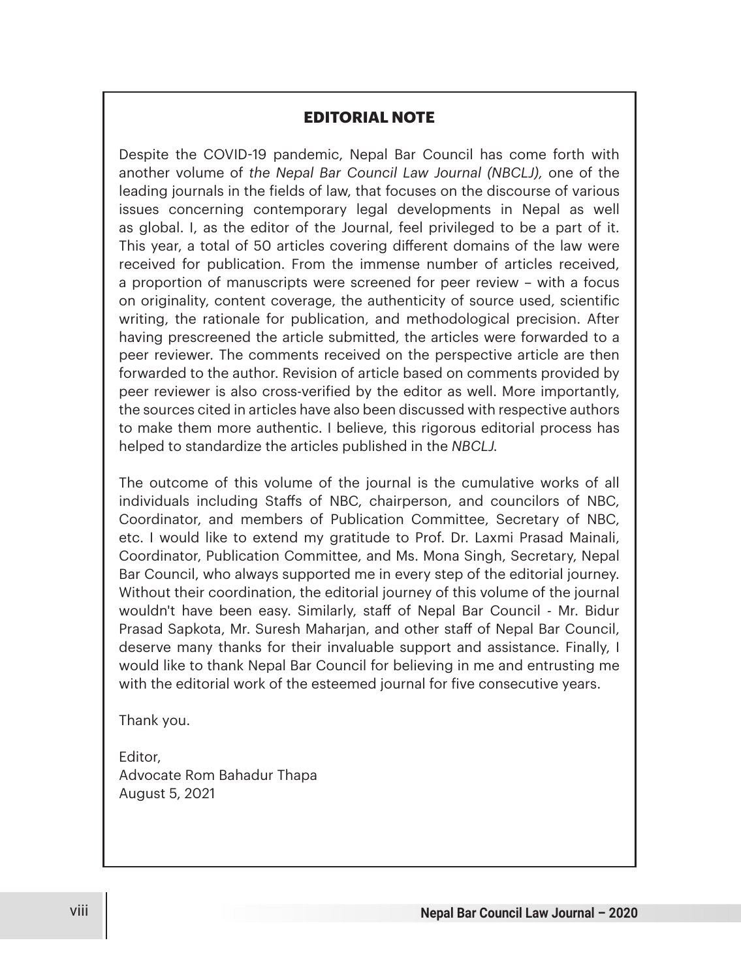### **EDITORIAL NOTE**

Despite the COVID-19 pandemic, Nepal Bar Council has come forth with another volume of *the Nepal Bar Council Law Journal (NBCLJ),* one of the leading journals in the fields of law, that focuses on the discourse of various issues concerning contemporary legal developments in Nepal as well as global. I, as the editor of the Journal, feel privileged to be a part of it. This year, a total of 50 articles covering different domains of the law were received for publication. From the immense number of articles received, a proportion of manuscripts were screened for peer review – with a focus on originality, content coverage, the authenticity of source used, scientific writing, the rationale for publication, and methodological precision. After having prescreened the article submitted, the articles were forwarded to a peer reviewer. The comments received on the perspective article are then forwarded to the author. Revision of article based on comments provided by peer reviewer is also cross-verified by the editor as well. More importantly, the sources cited in articles have also been discussed with respective authors to make them more authentic. I believe, this rigorous editorial process has helped to standardize the articles published in the *NBCLJ.*

The outcome of this volume of the journal is the cumulative works of all individuals including Staffs of NBC, chairperson, and councilors of NBC, Coordinator, and members of Publication Committee, Secretary of NBC, etc. I would like to extend my gratitude to Prof. Dr. Laxmi Prasad Mainali, Coordinator, Publication Committee, and Ms. Mona Singh, Secretary, Nepal Bar Council, who always supported me in every step of the editorial journey. Without their coordination, the editorial journey of this volume of the journal wouldn't have been easy. Similarly, staff of Nepal Bar Council - Mr. Bidur Prasad Sapkota, Mr. Suresh Maharjan, and other staff of Nepal Bar Council, deserve many thanks for their invaluable support and assistance. Finally, I would like to thank Nepal Bar Council for believing in me and entrusting me with the editorial work of the esteemed journal for five consecutive years.

Thank you.

Editor, Advocate Rom Bahadur Thapa August 5, 2021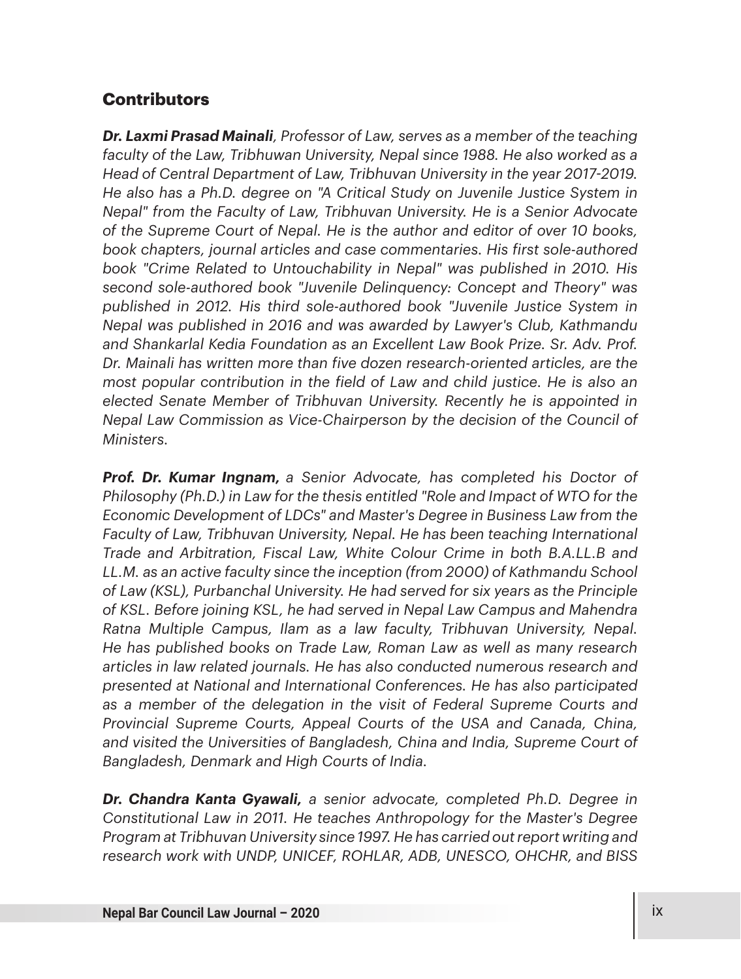## **Contributors**

*Dr. Laxmi Prasad Mainali, Professor of Law, serves as a member of the teaching faculty of the Law, Tribhuwan University, Nepal since 1988. He also worked as a Head of Central Department of Law, Tribhuvan University in the year 2017-2019. He also has a Ph.D. degree on "A Critical Study on Juvenile Justice System in Nepal" from the Faculty of Law, Tribhuvan University. He is a Senior Advocate of the Supreme Court of Nepal. He is the author and editor of over 10 books, book chapters, journal articles and case commentaries. His first sole-authored book "Crime Related to Untouchability in Nepal" was published in 2010. His second sole-authored book "Juvenile Delinquency: Concept and Theory" was published in 2012. His third sole-authored book "Juvenile Justice System in Nepal was published in 2016 and was awarded by Lawyer's Club, Kathmandu and Shankarlal Kedia Foundation as an Excellent Law Book Prize. Sr. Adv. Prof. Dr. Mainali has written more than five dozen research-oriented articles, are the most popular contribution in the field of Law and child justice. He is also an elected Senate Member of Tribhuvan University. Recently he is appointed in Nepal Law Commission as Vice-Chairperson by the decision of the Council of Ministers.*

*Prof. Dr. Kumar Ingnam, a Senior Advocate, has completed his Doctor of Philosophy (Ph.D.) in Law for the thesis entitled "Role and Impact of WTO for the Economic Development of LDCs" and Master's Degree in Business Law from the Faculty of Law, Tribhuvan University, Nepal. He has been teaching International Trade and Arbitration, Fiscal Law, White Colour Crime in both B.A.LL.B and LL.M. as an active faculty since the inception (from 2000) of Kathmandu School of Law (KSL), Purbanchal University. He had served for six years as the Principle of KSL. Before joining KSL, he had served in Nepal Law Campus and Mahendra Ratna Multiple Campus, Ilam as a law faculty, Tribhuvan University, Nepal. He has published books on Trade Law, Roman Law as well as many research articles in law related journals. He has also conducted numerous research and presented at National and International Conferences. He has also participated as a member of the delegation in the visit of Federal Supreme Courts and Provincial Supreme Courts, Appeal Courts of the USA and Canada, China, and visited the Universities of Bangladesh, China and India, Supreme Court of Bangladesh, Denmark and High Courts of India.*

*Dr. Chandra Kanta Gyawali, a senior advocate, completed Ph.D. Degree in Constitutional Law in 2011. He teaches Anthropology for the Master's Degree Program at Tribhuvan University since 1997. He has carried out report writing and research work with UNDP, UNICEF, ROHLAR, ADB, UNESCO, OHCHR, and BISS*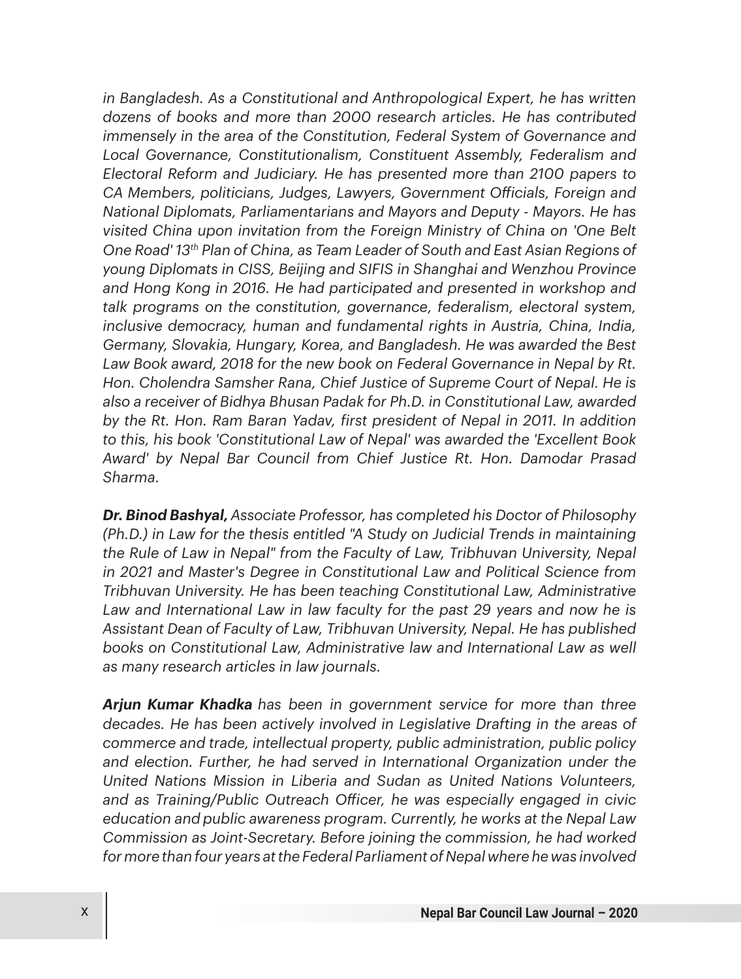*in Bangladesh. As a Constitutional and Anthropological Expert, he has written dozens of books and more than 2000 research articles. He has contributed immensely in the area of the Constitution, Federal System of Governance and Local Governance, Constitutionalism, Constituent Assembly, Federalism and Electoral Reform and Judiciary. He has presented more than 2100 papers to CA Members, politicians, Judges, Lawyers, Government O\$icials, Foreign and National Diplomats, Parliamentarians and Mayors and Deputy - Mayors. He has visited China upon invitation from the Foreign Ministry of China on 'One Belt One Road' 13th Plan of China, as Team Leader of South and East Asian Regions of young Diplomats in CISS, Beijing and SIFIS in Shanghai and Wenzhou Province and Hong Kong in 2016. He had participated and presented in workshop and talk programs on the constitution, governance, federalism, electoral system, inclusive democracy, human and fundamental rights in Austria, China, India, Germany, Slovakia, Hungary, Korea, and Bangladesh. He was awarded the Best*  Law Book award, 2018 for the new book on Federal Governance in Nepal by Rt. *Hon. Cholendra Samsher Rana, Chief Justice of Supreme Court of Nepal. He is also a receiver of Bidhya Bhusan Padak for Ph.D. in Constitutional Law, awarded by the Rt. Hon. Ram Baran Yadav, first president of Nepal in 2011. In addition to this, his book 'Constitutional Law of Nepal' was awarded the 'Excellent Book Award' by Nepal Bar Council from Chief Justice Rt. Hon. Damodar Prasad Sharma.*

*Dr. Binod Bashyal,Associate Professor, has completed his Doctor of Philosophy (Ph.D.) in Law for the thesis entitled "A Study on Judicial Trends in maintaining the Rule of Law in Nepal" from the Faculty of Law, Tribhuvan University, Nepal in 2021 and Master's Degree in Constitutional Law and Political Science from Tribhuvan University. He has been teaching Constitutional Law, Administrative*  Law and International Law in law faculty for the past 29 years and now he is *Assistant Dean of Faculty of Law, Tribhuvan University, Nepal. He has published books on Constitutional Law, Administrative law and International Law as well as many research articles in law journals.* 

*Arjun Kumar Khadka has been in government service for more than three decades. He has been actively involved in Legislative Drafting in the areas of commerce and trade, intellectual property, public administration, public policy and election. Further, he had served in International Organization under the United Nations Mission in Liberia and Sudan as United Nations Volunteers, and as Training/Public Outreach O\$icer, he was especially engaged in civic education and public awareness program. Currently, he works at the Nepal Law Commission as Joint-Secretary. Before joining the commission, he had worked for more than four years at the Federal Parliament of Nepal where he was involved*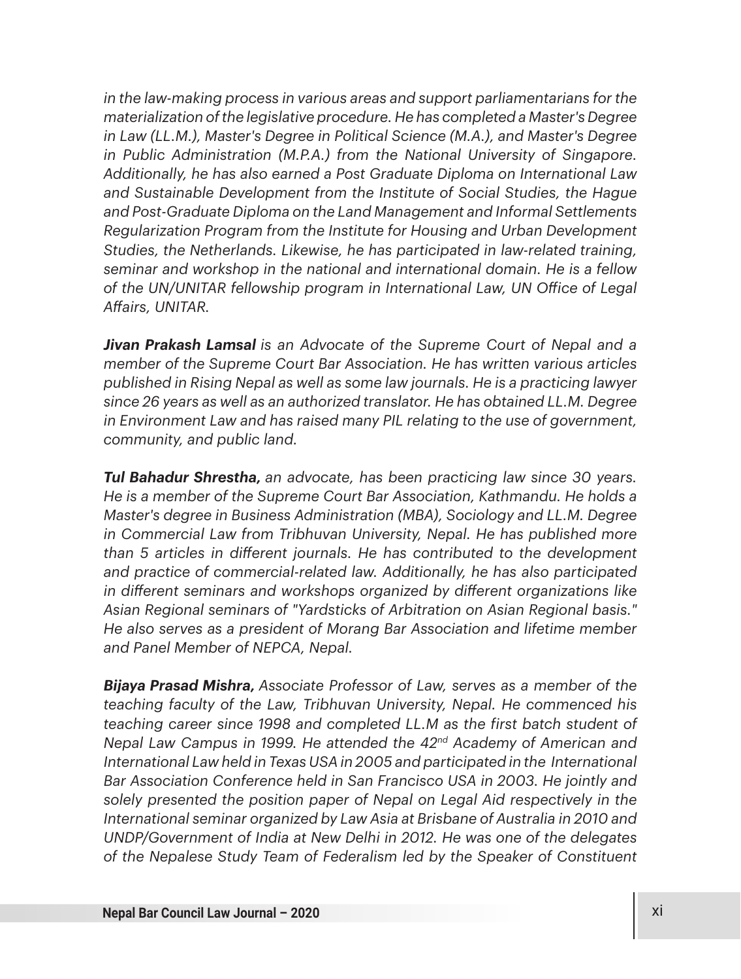*in the law-making process in various areas and support parliamentarians for the materialization of the legislative procedure. He has completed a Master's Degree in Law (LL.M.), Master's Degree in Political Science (M.A.), and Master's Degree in Public Administration (M.P.A.) from the National University of Singapore. Additionally, he has also earned a Post Graduate Diploma on International Law and Sustainable Development from the Institute of Social Studies, the Hague and Post-Graduate Diploma on the Land Management and Informal Settlements Regularization Program from the Institute for Housing and Urban Development Studies, the Netherlands. Likewise, he has participated in law-related training, seminar and workshop in the national and international domain. He is a fellow of the UN/UNITAR fellowship program in International Law, UN O\$ice of Legal A%airs, UNITAR.*

*Jivan Prakash Lamsal is an Advocate of the Supreme Court of Nepal and a member of the Supreme Court Bar Association. He has written various articles published in Rising Nepal as well as some law journals. He is a practicing lawyer since 26 years as well as an authorized translator. He has obtained LL.M. Degree in Environment Law and has raised many PIL relating to the use of government, community, and public land.*

*Tul Bahadur Shrestha, an advocate, has been practicing law since 30 years. He is a member of the Supreme Court Bar Association, Kathmandu. He holds a Master's degree in Business Administration (MBA), Sociology and LL.M. Degree in Commercial Law from Tribhuvan University, Nepal. He has published more than 5 articles in di%erent journals. He has contributed to the development and practice of commercial-related law. Additionally, he has also participated in di%erent seminars and workshops organized by di%erent organizations like Asian Regional seminars of "Yardsticks of Arbitration on Asian Regional basis." He also serves as a president of Morang Bar Association and lifetime member and Panel Member of NEPCA, Nepal.*

*Bijaya Prasad Mishra, Associate Professor of Law, serves as a member of the teaching faculty of the Law, Tribhuvan University, Nepal. He commenced his teaching career since 1998 and completed LL.M as the first batch student of Nepal Law Campus in 1999. He attended the 42nd Academy of American and International Law held in Texas USA in 2005 and participated in the International Bar Association Conference held in San Francisco USA in 2003. He jointly and solely presented the position paper of Nepal on Legal Aid respectively in the International seminar organized by Law Asia at Brisbane of Australia in 2010 and UNDP/Government of India at New Delhi in 2012. He was one of the delegates of the Nepalese Study Team of Federalism led by the Speaker of Constituent*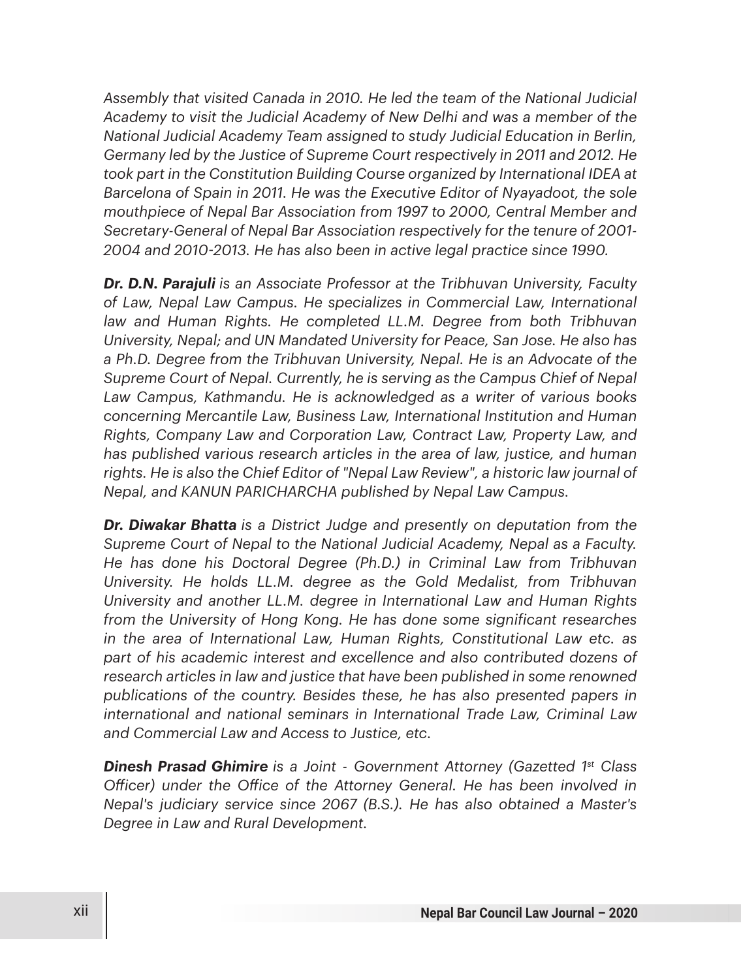*Assembly that visited Canada in 2010. He led the team of the National Judicial Academy to visit the Judicial Academy of New Delhi and was a member of the National Judicial Academy Team assigned to study Judicial Education in Berlin, Germany led by the Justice of Supreme Court respectively in 2011 and 2012. He took part in the Constitution Building Course organized by International IDEA at Barcelona of Spain in 2011. He was the Executive Editor of Nyayadoot, the sole mouthpiece of Nepal Bar Association from 1997 to 2000, Central Member and Secretary-General of Nepal Bar Association respectively for the tenure of 2001- 2004 and 2010-2013. He has also been in active legal practice since 1990.*

*Dr. D.N. Parajuli is an Associate Professor at the Tribhuvan University, Faculty of Law, Nepal Law Campus. He specializes in Commercial Law, International law and Human Rights. He completed LL.M. Degree from both Tribhuvan University, Nepal; and UN Mandated University for Peace, San Jose. He also has a Ph.D. Degree from the Tribhuvan University, Nepal. He is an Advocate of the Supreme Court of Nepal. Currently, he is serving as the Campus Chief of Nepal Law Campus, Kathmandu. He is acknowledged as a writer of various books concerning Mercantile Law, Business Law, International Institution and Human Rights, Company Law and Corporation Law, Contract Law, Property Law, and has published various research articles in the area of law, justice, and human rights. He is also the Chief Editor of "Nepal Law Review", a historic law journal of Nepal, and KANUN PARICHARCHA published by Nepal Law Campus.*

*Dr. Diwakar Bhatta is a District Judge and presently on deputation from the Supreme Court of Nepal to the National Judicial Academy, Nepal as a Faculty. He has done his Doctoral Degree (Ph.D.) in Criminal Law from Tribhuvan University. He holds LL.M. degree as the Gold Medalist, from Tribhuvan University and another LL.M. degree in International Law and Human Rights from the University of Hong Kong. He has done some significant researches in the area of International Law, Human Rights, Constitutional Law etc. as part of his academic interest and excellence and also contributed dozens of research articles in law and justice that have been published in some renowned publications of the country. Besides these, he has also presented papers in international and national seminars in International Trade Law, Criminal Law and Commercial Law and Access to Justice, etc.*

*Dinesh Prasad Ghimire is a Joint - Government Attorney (Gazetted 1st Class O\$icer) under the O\$ice of the Attorney General. He has been involved in Nepal's judiciary service since 2067 (B.S.). He has also obtained a Master's Degree in Law and Rural Development.*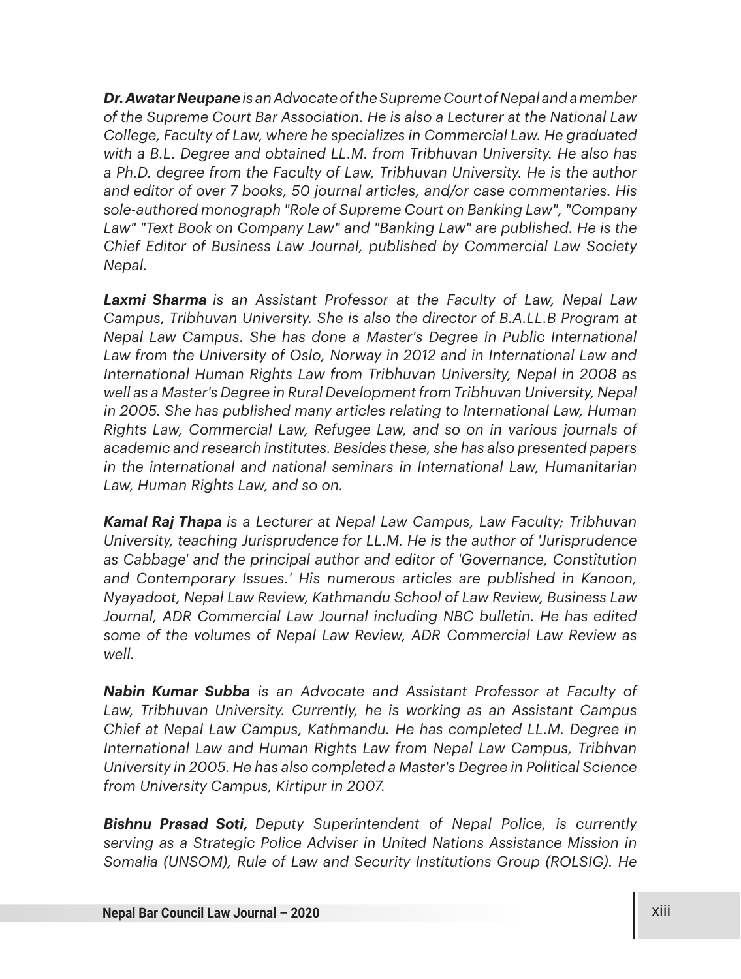*Dr. Awatar Neupane is an Advocate of the Supreme Court of Nepal and a member of the Supreme Court Bar Association. He is also a Lecturer at the National Law College, Faculty of Law, where he specializes in Commercial Law. He graduated with a B.L. Degree and obtained LL.M. from Tribhuvan University. He also has a Ph.D. degree from the Faculty of Law, Tribhuvan University. He is the author and editor of over 7 books, 50 journal articles, and/or case commentaries. His sole-authored monograph "Role of Supreme Court on Banking Law", "Company*  Law" "Text Book on Company Law" and "Banking Law" are published. He is the *Chief Editor of Business Law Journal, published by Commercial Law Society Nepal.*

*Laxmi Sharma is an Assistant Professor at the Faculty of Law, Nepal Law Campus, Tribhuvan University. She is also the director of B.A.LL.B Program at Nepal Law Campus. She has done a Master's Degree in Public International*  Law from the University of Oslo, Norway in 2012 and in International Law and *International Human Rights Law from Tribhuvan University, Nepal in 2008 as well as a Master's Degree in Rural Development from Tribhuvan University, Nepal in 2005. She has published many articles relating to International Law, Human Rights Law, Commercial Law, Refugee Law, and so on in various journals of academic and research institutes. Besides these, she has also presented papers in the international and national seminars in International Law, Humanitarian Law, Human Rights Law, and so on.*

*Kamal Raj Thapa is a Lecturer at Nepal Law Campus, Law Faculty; Tribhuvan University, teaching Jurisprudence for LL.M. He is the author of 'Jurisprudence as Cabbage' and the principal author and editor of 'Governance, Constitution and Contemporary Issues.' His numerous articles are published in Kanoon, Nyayadoot, Nepal Law Review, Kathmandu School of Law Review, Business Law*  Journal, ADR Commercial Law Journal including NBC bulletin. He has edited *some of the volumes of Nepal Law Review, ADR Commercial Law Review as well.* 

*Nabin Kumar Subba is an Advocate and Assistant Professor at Faculty of Law, Tribhuvan University. Currently, he is working as an Assistant Campus Chief at Nepal Law Campus, Kathmandu. He has completed LL.M. Degree in International Law and Human Rights Law from Nepal Law Campus, Tribhvan University in 2005. He has also completed a Master's Degree in Political Science from University Campus, Kirtipur in 2007.*

*Bishnu Prasad Soti, Deputy Superintendent of Nepal Police, is currently serving as a Strategic Police Adviser in United Nations Assistance Mission in Somalia (UNSOM), Rule of Law and Security Institutions Group (ROLSIG). He*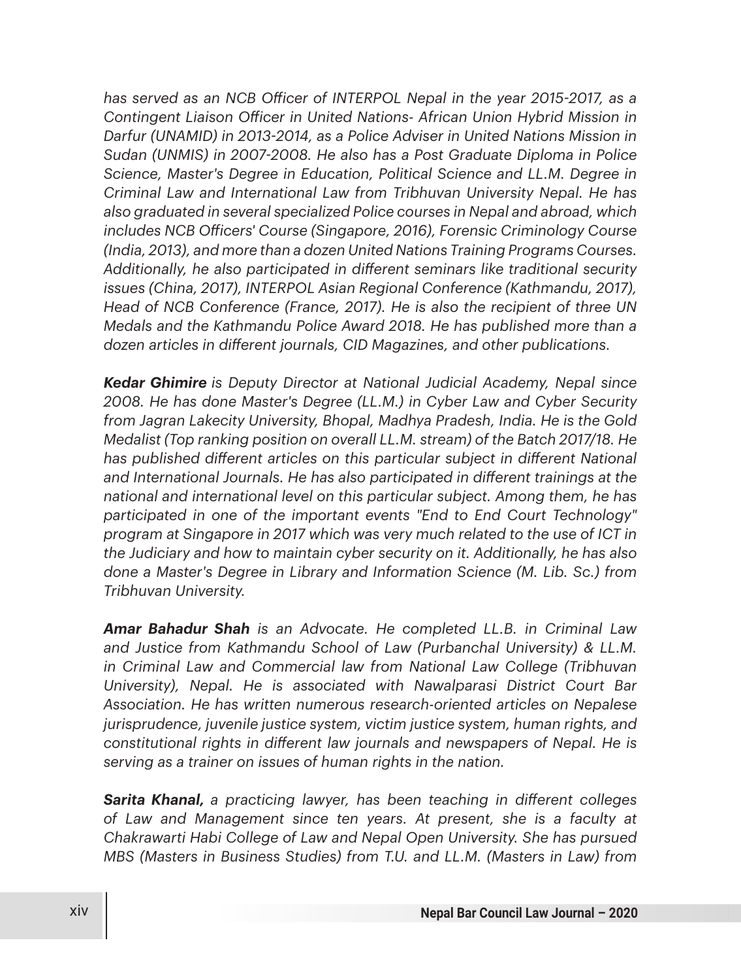*has served as an NCB O\$icer of INTERPOL Nepal in the year 2015-2017, as a Contingent Liaison O\$icer in United Nations- African Union Hybrid Mission in Darfur (UNAMID) in 2013-2014, as a Police Adviser in United Nations Mission in Sudan (UNMIS) in 2007-2008. He also has a Post Graduate Diploma in Police Science, Master's Degree in Education, Political Science and LL.M. Degree in Criminal Law and International Law from Tribhuvan University Nepal. He has also graduated in several specialized Police courses in Nepal and abroad, which includes NCB O\$icers' Course (Singapore, 2016), Forensic Criminology Course (India, 2013), and more than a dozen United Nations Training Programs Courses. Additionally, he also participated in di%erent seminars like traditional security issues (China, 2017), INTERPOL Asian Regional Conference (Kathmandu, 2017), Head of NCB Conference (France, 2017). He is also the recipient of three UN Medals and the Kathmandu Police Award 2018. He has published more than a*  dozen articles in different journals, CID Magazines, and other publications.

*Kedar Ghimire is Deputy Director at National Judicial Academy, Nepal since 2008. He has done Master's Degree (LL.M.) in Cyber Law and Cyber Security from Jagran Lakecity University, Bhopal, Madhya Pradesh, India. He is the Gold Medalist (Top ranking position on overall LL.M. stream) of the Batch 2017/18. He has published di%erent articles on this particular subject in di%erent National*  and International Journals. He has also participated in different trainings at the *national and international level on this particular subject. Among them, he has participated in one of the important events "End to End Court Technology" program at Singapore in 2017 which was very much related to the use of ICT in the Judiciary and how to maintain cyber security on it. Additionally, he has also done a Master's Degree in Library and Information Science (M. Lib. Sc.) from Tribhuvan University.* 

*Amar Bahadur Shah is an Advocate. He completed LL.B. in Criminal Law and Justice from Kathmandu School of Law (Purbanchal University) & LL.M. in Criminal Law and Commercial law from National Law College (Tribhuvan University), Nepal. He is associated with Nawalparasi District Court Bar Association. He has written numerous research-oriented articles on Nepalese jurisprudence, juvenile justice system, victim justice system, human rights, and constitutional rights in di%erent law journals and newspapers of Nepal. He is serving as a trainer on issues of human rights in the nation.* 

**Sarita Khanal,** a practicing lawyer, has been teaching in different colleges *of Law and Management since ten years. At present, she is a faculty at Chakrawarti Habi College of Law and Nepal Open University. She has pursued MBS (Masters in Business Studies) from T.U. and LL.M. (Masters in Law) from*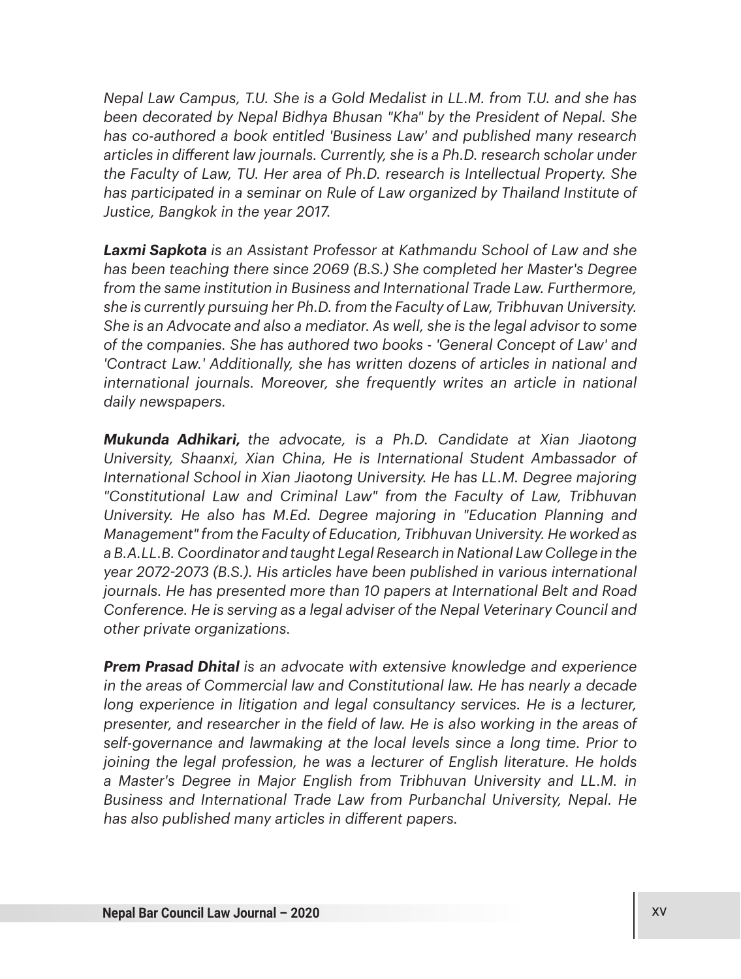*Nepal Law Campus, T.U. She is a Gold Medalist in LL.M. from T.U. and she has been decorated by Nepal Bidhya Bhusan "Kha" by the President of Nepal. She has co-authored a book entitled 'Business Law' and published many research articles in di%erent law journals. Currently, she is a Ph.D. research scholar under the Faculty of Law, TU. Her area of Ph.D. research is Intellectual Property. She has participated in a seminar on Rule of Law organized by Thailand Institute of Justice, Bangkok in the year 2017.* 

*Laxmi Sapkota is an Assistant Professor at Kathmandu School of Law and she has been teaching there since 2069 (B.S.) She completed her Master's Degree from the same institution in Business and International Trade Law. Furthermore, she is currently pursuing her Ph.D. from the Faculty of Law, Tribhuvan University. She is an Advocate and also a mediator. As well, she is the legal advisor to some of the companies. She has authored two books - 'General Concept of Law' and 'Contract Law.' Additionally, she has written dozens of articles in national and international journals. Moreover, she frequently writes an article in national daily newspapers.*

*Mukunda Adhikari, the advocate, is a Ph.D. Candidate at Xian Jiaotong University, Shaanxi, Xian China, He is International Student Ambassador of International School in Xian Jiaotong University. He has LL.M. Degree majoring "Constitutional Law and Criminal Law" from the Faculty of Law, Tribhuvan University. He also has M.Ed. Degree majoring in "Education Planning and Management" from the Faculty of Education, Tribhuvan University. He worked as a B.A.LL.B. Coordinator and taught Legal Research in National Law College in the year 2072-2073 (B.S.). His articles have been published in various international journals. He has presented more than 10 papers at International Belt and Road Conference. He is serving as a legal adviser of the Nepal Veterinary Council and other private organizations.* 

*Prem Prasad Dhital is an advocate with extensive knowledge and experience in the areas of Commercial law and Constitutional law. He has nearly a decade long experience in litigation and legal consultancy services. He is a lecturer, presenter, and researcher in the field of law. He is also working in the areas of self-governance and lawmaking at the local levels since a long time. Prior to joining the legal profession, he was a lecturer of English literature. He holds a Master's Degree in Major English from Tribhuvan University and LL.M. in Business and International Trade Law from Purbanchal University, Nepal. He has also published many articles in di%erent papers.*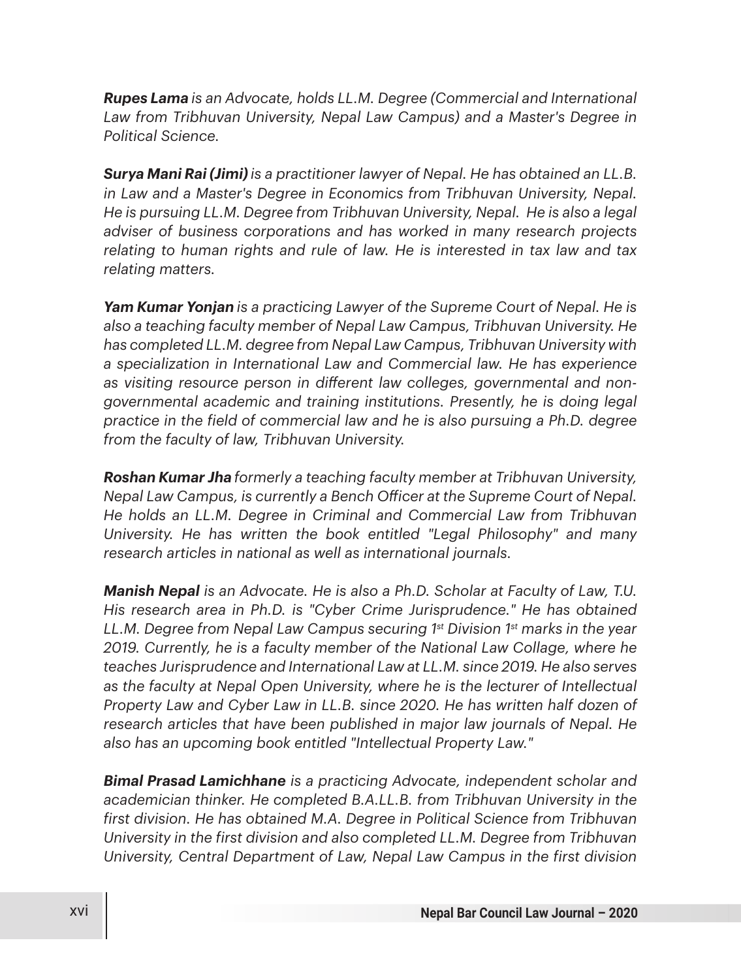*Rupes Lama is an Advocate, holds LL.M. Degree (Commercial and International Law from Tribhuvan University, Nepal Law Campus) and a Master's Degree in Political Science.*

*Surya Mani Rai (Jimi)is a practitioner lawyer of Nepal. He has obtained an LL.B. in Law and a Master's Degree in Economics from Tribhuvan University, Nepal. He is pursuing LL.M. Degree from Tribhuvan University, Nepal. He is also a legal adviser of business corporations and has worked in many research projects relating to human rights and rule of law. He is interested in tax law and tax relating matters.* 

*Yam Kumar Yonjan is a practicing Lawyer of the Supreme Court of Nepal. He is also a teaching faculty member of Nepal Law Campus, Tribhuvan University. He has completed LL.M. degree from Nepal Law Campus, Tribhuvan University with a specialization in International Law and Commercial law. He has experience*  as visiting resource person in different law colleges, governmental and non*governmental academic and training institutions. Presently, he is doing legal practice in the field of commercial law and he is also pursuing a Ph.D. degree from the faculty of law, Tribhuvan University.*

*Roshan Kumar Jha formerly a teaching faculty member at Tribhuvan University, Nepal Law Campus, is currently a Bench O\$icer at the Supreme Court of Nepal. He holds an LL.M. Degree in Criminal and Commercial Law from Tribhuvan University. He has written the book entitled "Legal Philosophy" and many research articles in national as well as international journals.*

*Manish Nepal is an Advocate. He is also a Ph.D. Scholar at Faculty of Law, T.U. His research area in Ph.D. is "Cyber Crime Jurisprudence." He has obtained LL.M. Degree from Nepal Law Campus securing 1st Division 1st marks in the year 2019. Currently, he is a faculty member of the National Law Collage, where he teaches Jurisprudence and International Law at LL.M. since 2019. He also serves as the faculty at Nepal Open University, where he is the lecturer of Intellectual Property Law and Cyber Law in LL.B. since 2020. He has written half dozen of research articles that have been published in major law journals of Nepal. He also has an upcoming book entitled "Intellectual Property Law."*

*Bimal Prasad Lamichhane is a practicing Advocate, independent scholar and academician thinker. He completed B.A.LL.B. from Tribhuvan University in the first division. He has obtained M.A. Degree in Political Science from Tribhuvan University in the first division and also completed LL.M. Degree from Tribhuvan University, Central Department of Law, Nepal Law Campus in the first division*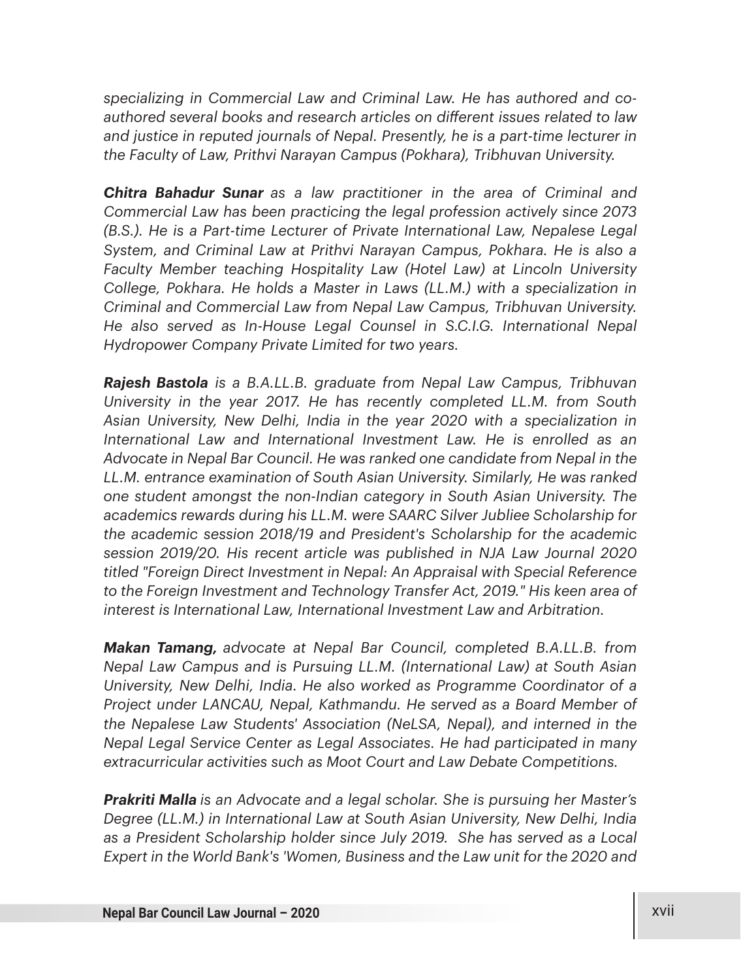*specializing in Commercial Law and Criminal Law. He has authored and coauthored several books and research articles on di%erent issues related to law and justice in reputed journals of Nepal. Presently, he is a part-time lecturer in the Faculty of Law, Prithvi Narayan Campus (Pokhara), Tribhuvan University.* 

*Chitra Bahadur Sunar as a law practitioner in the area of Criminal and Commercial Law has been practicing the legal profession actively since 2073 (B.S.). He is a Part-time Lecturer of Private International Law, Nepalese Legal System, and Criminal Law at Prithvi Narayan Campus, Pokhara. He is also a Faculty Member teaching Hospitality Law (Hotel Law) at Lincoln University College, Pokhara. He holds a Master in Laws (LL.M.) with a specialization in Criminal and Commercial Law from Nepal Law Campus, Tribhuvan University. He also served as In-House Legal Counsel in S.C.I.G. International Nepal Hydropower Company Private Limited for two years.*

*Rajesh Bastola is a B.A.LL.B. graduate from Nepal Law Campus, Tribhuvan University in the year 2017. He has recently completed LL.M. from South Asian University, New Delhi, India in the year 2020 with a specialization in International Law and International Investment Law. He is enrolled as an Advocate in Nepal Bar Council. He was ranked one candidate from Nepal in the LL.M. entrance examination of South Asian University. Similarly, He was ranked one student amongst the non-Indian category in South Asian University. The academics rewards during his LL.M. were SAARC Silver Jubliee Scholarship for the academic session 2018/19 and President's Scholarship for the academic session 2019/20. His recent article was published in NJA Law Journal 2020 titled "Foreign Direct Investment in Nepal: An Appraisal with Special Reference to the Foreign Investment and Technology Transfer Act, 2019." His keen area of interest is International Law, International Investment Law and Arbitration.*

*Makan Tamang, advocate at Nepal Bar Council, completed B.A.LL.B. from Nepal Law Campus and is Pursuing LL.M. (International Law) at South Asian University, New Delhi, India. He also worked as Programme Coordinator of a Project under LANCAU, Nepal, Kathmandu. He served as a Board Member of the Nepalese Law Students' Association (NeLSA, Nepal), and interned in the Nepal Legal Service Center as Legal Associates. He had participated in many extracurricular activities such as Moot Court and Law Debate Competitions.*

*Prakriti Malla is an Advocate and a legal scholar. She is pursuing her Master's Degree (LL.M.) in International Law at South Asian University, New Delhi, India as a President Scholarship holder since July 2019. She has served as a Local Expert in the World Bank's 'Women, Business and the Law unit for the 2020 and*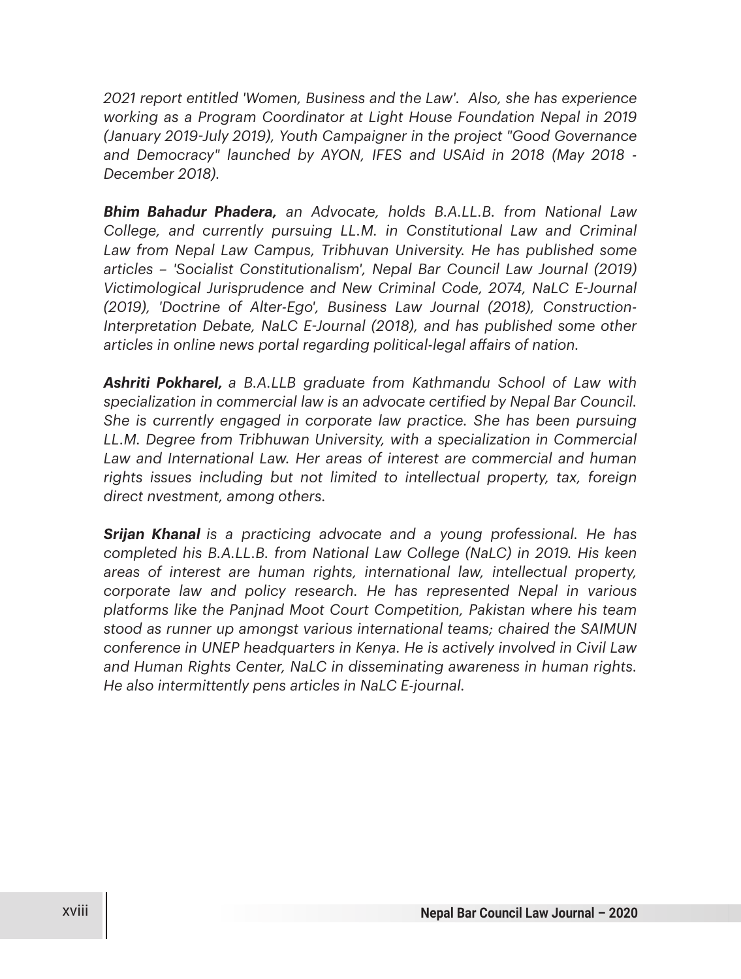*2021 report entitled 'Women, Business and the Law'. Also, she has experience working as a Program Coordinator at Light House Foundation Nepal in 2019 (January 2019-July 2019), Youth Campaigner in the project "Good Governance and Democracy" launched by AYON, IFES and USAid in 2018 (May 2018 - December 2018).* 

*Bhim Bahadur Phadera, an Advocate, holds B.A.LL.B. from National Law College, and currently pursuing LL.M. in Constitutional Law and Criminal*  Law from Nepal Law Campus, Tribhuvan University. He has published some *articles – 'Socialist Constitutionalism', Nepal Bar Council Law Journal (2019) Victimological Jurisprudence and New Criminal Code, 2074, NaLC E-Journal (2019), 'Doctrine of Alter-Ego', Business Law Journal (2018), Construction-Interpretation Debate, NaLC E-Journal (2018), and has published some other articles in online news portal regarding political-legal a%airs of nation.*

*Ashriti Pokharel, a B.A.LLB graduate from Kathmandu School of Law with specialization in commercial law is an advocate certified by Nepal Bar Council. She is currently engaged in corporate law practice. She has been pursuing LL.M. Degree from Tribhuwan University, with a specialization in Commercial*  Law and International Law. Her areas of interest are commercial and human *rights issues including but not limited to intellectual property, tax, foreign direct nvestment, among others.*

*Srijan Khanal is a practicing advocate and a young professional. He has completed his B.A.LL.B. from National Law College (NaLC) in 2019. His keen areas of interest are human rights, international law, intellectual property, corporate law and policy research. He has represented Nepal in various platforms like the Panjnad Moot Court Competition, Pakistan where his team stood as runner up amongst various international teams; chaired the SAIMUN conference in UNEP headquarters in Kenya. He is actively involved in Civil Law and Human Rights Center, NaLC in disseminating awareness in human rights. He also intermittently pens articles in NaLC E-journal.*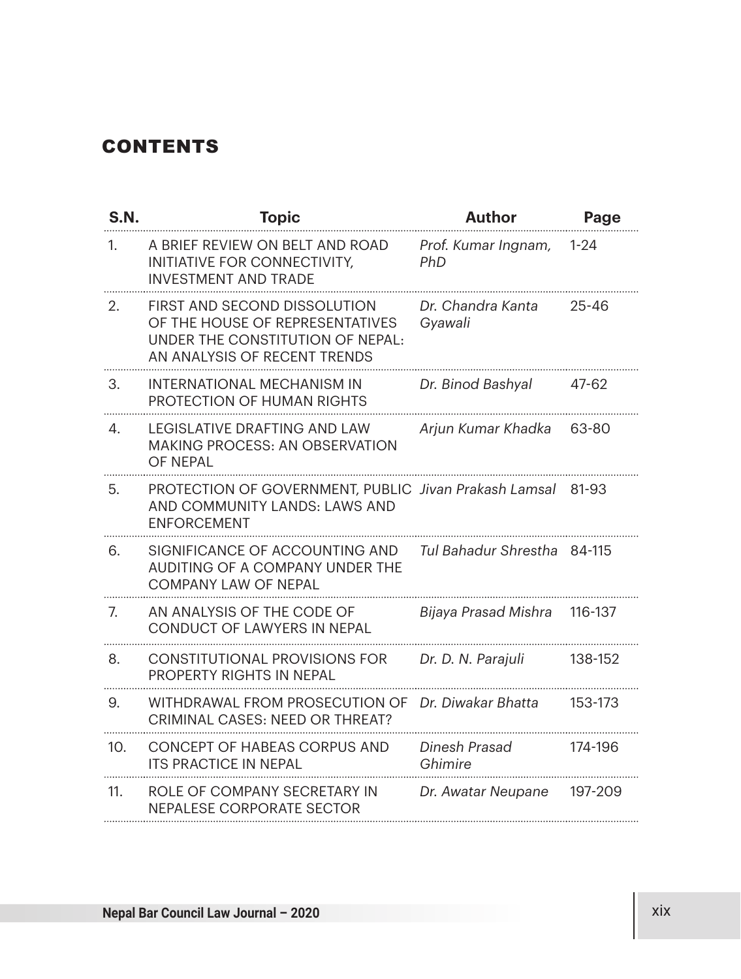## **CONTENTS**

| <b>S.N.</b> | <b>Topic</b>                                                                                                                        | <b>Author</b>                | Page      |
|-------------|-------------------------------------------------------------------------------------------------------------------------------------|------------------------------|-----------|
| 1.          | A BRIEF REVIEW ON BELT AND ROAD<br>INITIATIVE FOR CONNECTIVITY,<br><b>INVESTMENT AND TRADE</b>                                      | Prof. Kumar Ingnam,<br>PhD   | $1 - 24$  |
| 2.          | FIRST AND SECOND DISSOLUTION<br>OF THE HOUSE OF REPRESENTATIVES<br>UNDER THE CONSTITUTION OF NEPAL:<br>AN ANALYSIS OF RECENT TRENDS | Dr. Chandra Kanta<br>Gyawali | $25 - 46$ |
| 3.          | INTERNATIONAL MECHANISM IN<br>PROTECTION OF HUMAN RIGHTS                                                                            | Dr. Binod Bashyal            | 47-62     |
| 4.          | LEGISLATIVE DRAFTING AND LAW<br><b>MAKING PROCESS: AN OBSERVATION</b><br>OF NFPAI                                                   | Arjun Kumar Khadka           | 63-80     |
| 5.          | PROTECTION OF GOVERNMENT, PUBLIC Jivan Prakash Lamsal<br>AND COMMUNITY LANDS: LAWS AND<br><b>ENFORCEMENT</b>                        |                              | 81-93     |
| 6.          | SIGNIFICANCE OF ACCOUNTING AND<br>AUDITING OF A COMPANY UNDER THE<br><b>COMPANY LAW OF NEPAL</b>                                    | Tul Bahadur Shrestha 84-115  |           |
| 7.          | AN ANALYSIS OF THE CODE OF<br>CONDUCT OF LAWYERS IN NEPAL                                                                           | Bijaya Prasad Mishra         | 116-137   |
| 8.          | CONSTITUTIONAL PROVISIONS FOR<br>PROPERTY RIGHTS IN NEPAL                                                                           | Dr. D. N. Parajuli           | 138-152   |
| 9.          | WITHDRAWAL FROM PROSECUTION OF<br><b>CRIMINAL CASES: NEED OR THREAT?</b>                                                            | Dr. Diwakar Bhatta           | 153-173   |
| 10.         | CONCEPT OF HABEAS CORPUS AND<br><b>ITS PRACTICE IN NEPAL</b>                                                                        | Dinesh Prasad<br>Ghimire     | 174-196   |
| 11.         | ROLE OF COMPANY SECRETARY IN<br>NEPALESE CORPORATE SECTOR                                                                           | Dr. Awatar Neupane           | 197-209   |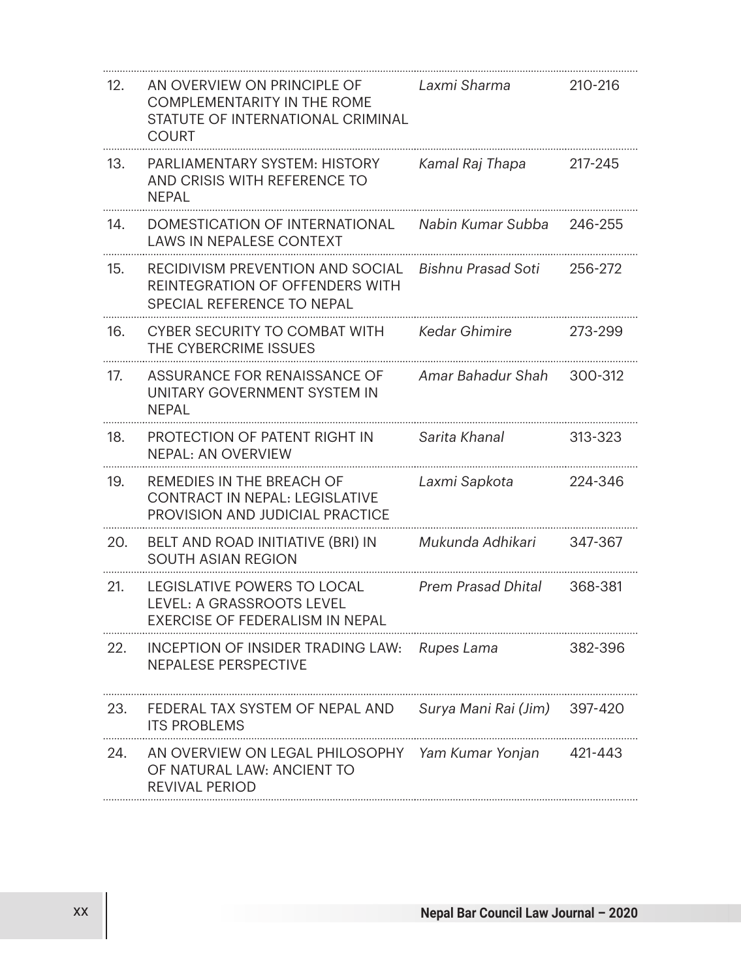| 12. | AN OVERVIEW ON PRINCIPLE OF<br><b>COMPLEMENTARITY IN THE ROME</b><br>STATUTE OF INTERNATIONAL CRIMINAL<br>COURT | Laxmi Sharma         | 210-216 |
|-----|-----------------------------------------------------------------------------------------------------------------|----------------------|---------|
| 13. | PARLIAMENTARY SYSTEM: HISTORY<br>AND CRISIS WITH REFERENCE TO<br>NEPAL                                          | Kamal Raj Thapa      | 217-245 |
| 14. | DOMESTICATION OF INTERNATIONAL<br>LAWS IN NEPALESE CONTEXT                                                      | Nabin Kumar Subba    | 246-255 |
| 15. | RECIDIVISM PREVENTION AND SOCIAL<br>REINTEGRATION OF OFFENDERS WITH<br>SPECIAL REFERENCE TO NEPAL               | Bishnu Prasad Soti   | 256-272 |
| 16. | CYBER SECURITY TO COMBAT WITH<br>THE CYBERCRIME ISSUES                                                          | Kedar Ghimire        | 273-299 |
| 17. | ASSURANCE FOR RENAISSANCE OF<br>UNITARY GOVERNMENT SYSTEM IN<br>NEPAL                                           | Amar Bahadur Shah    | 300-312 |
| 18. | PROTECTION OF PATENT RIGHT IN<br>NEPAL: AN OVERVIEW                                                             | Sarita Khanal        | 313-323 |
| 19. | REMEDIES IN THE BREACH OF<br>CONTRACT IN NEPAL: LEGISLATIVE<br>PROVISION AND JUDICIAL PRACTICE                  | Laxmi Sapkota        | 224-346 |
| 20. | BELT AND ROAD INITIATIVE (BRI) IN<br>SOUTH ASIAN REGION                                                         | Mukunda Adhikari     | 347-367 |
| 21. | LEGISLATIVE POWERS TO LOCAL<br>LEVEL: A GRASSROOTS LEVEL<br>EXERCISE OF FEDERALISM IN NEPAL                     | Prem Prasad Dhital   | 368-381 |
| 22. | INCEPTION OF INSIDER TRADING LAW:<br>NEPALESE PERSPECTIVE                                                       | Rupes Lama           | 382-396 |
| 23. | FEDERAL TAX SYSTEM OF NEPAL AND<br>ITS PROBLEMS                                                                 | Surya Mani Rai (Jim) | 397-420 |
| 24. | AN OVERVIEW ON LEGAL PHILOSOPHY<br>OF NATURAL LAW: ANCIENT TO<br>REVIVAL PERIOD                                 | Yam Kumar Yonjan     | 421-443 |
|     |                                                                                                                 |                      |         |